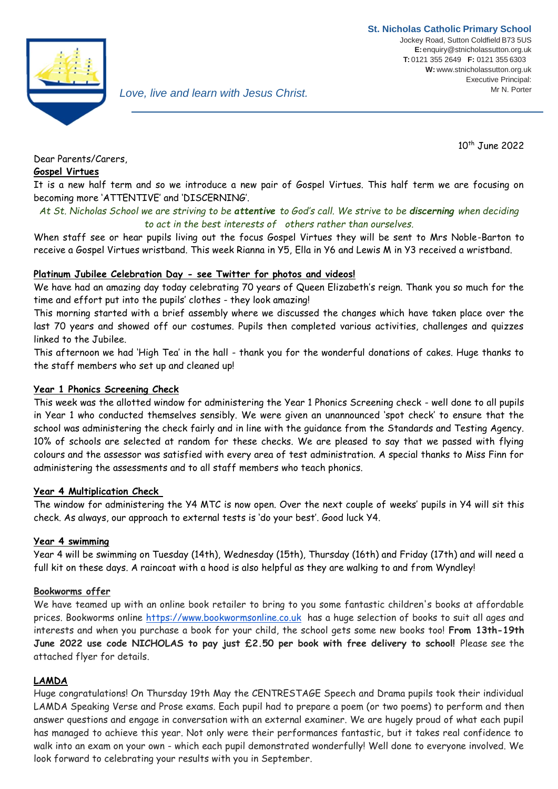

10th June 2022

# Dear Parents/Carers,

#### **Gospel Virtues**

It is a new half term and so we introduce a new pair of Gospel Virtues. This half term we are focusing on becoming more 'ATTENTIVE' and 'DISCERNING'.

### *At St. Nicholas School we are striving to be attentive to God's call. We strive to be discerning when deciding to act in the best interests of others rather than ourselves.*

When staff see or hear pupils living out the focus Gospel Virtues they will be sent to Mrs Noble-Barton to receive a Gospel Virtues wristband. This week Rianna in Y5, Ella in Y6 and Lewis M in Y3 received a wristband.

### **Platinum Jubilee Celebration Day - see Twitter for photos and videos!**

We have had an amazing day today celebrating 70 years of Queen Elizabeth's reign. Thank you so much for the time and effort put into the pupils' clothes - they look amazing!

This morning started with a brief assembly where we discussed the changes which have taken place over the last 70 years and showed off our costumes. Pupils then completed various activities, challenges and quizzes linked to the Jubilee.

This afternoon we had 'High Tea' in the hall - thank you for the wonderful donations of cakes. Huge thanks to the staff members who set up and cleaned up!

#### **Year 1 Phonics Screening Check**

This week was the allotted window for administering the Year 1 Phonics Screening check - well done to all pupils in Year 1 who conducted themselves sensibly. We were given an unannounced 'spot check' to ensure that the school was administering the check fairly and in line with the guidance from the Standards and Testing Agency. 10% of schools are selected at random for these checks. We are pleased to say that we passed with flying colours and the assessor was satisfied with every area of test administration. A special thanks to Miss Finn for administering the assessments and to all staff members who teach phonics.

#### **Year 4 Multiplication Check**

The window for administering the Y4 MTC is now open. Over the next couple of weeks' pupils in Y4 will sit this check. As always, our approach to external tests is 'do your best'. Good luck Y4.

#### **Year 4 swimming**

Year 4 will be swimming on Tuesday (14th), Wednesday (15th), Thursday (16th) and Friday (17th) and will need a full kit on these days. A raincoat with a hood is also helpful as they are walking to and from Wyndley!

#### **Bookworms offer**

We have teamed up with an online book retailer to bring to you some fantastic children's books at affordable prices. Bookworms online [https://www.bookwormsonline.co.uk](https://www.bookwormsonline.co.uk/) has a huge selection of books to suit all ages and interests and when you purchase a book for your child, the school gets some new books too! **From 13th-19th June 2022 use code NICHOLAS to pay just £2.50 per book with free delivery to school!** Please see the attached flyer for details.

#### **LAMDA**

Huge congratulations! On Thursday 19th May the CENTRESTAGE Speech and Drama pupils took their individual LAMDA Speaking Verse and Prose exams. Each pupil had to prepare a poem (or two poems) to perform and then answer questions and engage in conversation with an external examiner. We are hugely proud of what each pupil has managed to achieve this year. Not only were their performances fantastic, but it takes real confidence to walk into an exam on your own - which each pupil demonstrated wonderfully! Well done to everyone involved. We look forward to celebrating your results with you in September.